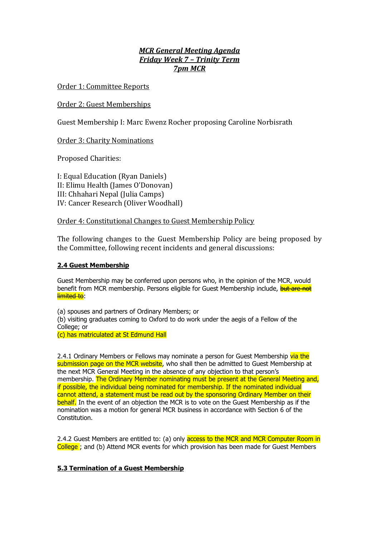# *MCR General Meeting Agenda Friday Week 7 – Trinity Term 7pm MCR*

Order 1: Committee Reports

## Order 2: Guest Memberships

Guest Membership I: Marc Ewenz Rocher proposing Caroline Norbisrath

## Order 3: Charity Nominations

Proposed Charities:

I: Equal Education (Ryan Daniels) II: Elimu Health (James O'Donovan) III: Chhahari Nepal (Julia Camps) IV: Cancer Research (Oliver Woodhall)

### Order 4: Constitutional Changes to Guest Membership Policy

The following changes to the Guest Membership Policy are being proposed by the Committee, following recent incidents and general discussions:

### **2.4 Guest Membership**

Guest Membership may be conferred upon persons who, in the opinion of the MCR, would benefit from MCR membership. Persons eligible for Guest Membership include, but are not limited to:

(a) spouses and partners of Ordinary Members; or

(b) visiting graduates coming to Oxford to do work under the aegis of a Fellow of the College; or

(c) has matriculated at St Edmund Hall

2.4.1 Ordinary Members or Fellows may nominate a person for Guest Membership via the submission page on the MCR website, who shall then be admitted to Guest Membership at the next MCR General Meeting in the absence of any objection to that person's membership. The Ordinary Member nominating must be present at the General Meeting and, if possible, the individual being nominated for membership. If the nominated individual cannot attend, a statement must be read out by the sponsoring Ordinary Member on their behalf. In the event of an objection the MCR is to vote on the Guest Membership as if the nomination was a motion for general MCR business in accordance with Section 6 of the Constitution.

2.4.2 Guest Members are entitled to: (a) only access to the MCR and MCR Computer Room in College ; and (b) Attend MCR events for which provision has been made for Guest Members

## **5.3 Termination of a Guest Membership**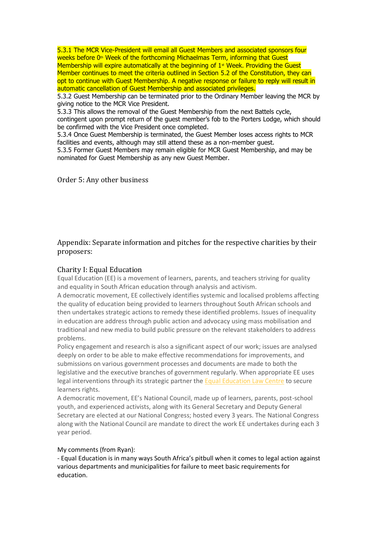5.3.1 The MCR Vice-President will email all Guest Members and associated sponsors four weeks before 0<sup>th</sup> Week of the forthcoming Michaelmas Term, informing that Guest Membership will expire automatically at the beginning of  $1<sup>*</sup>$  Week. Providing the Guest Member continues to meet the criteria outlined in Section 5.2 of the Constitution, they can opt to continue with Guest Membership. A negative response or failure to reply will result in automatic cancellation of Guest Membership and associated privileges.

5.3.2 Guest Membership can be terminated prior to the Ordinary Member leaving the MCR by giving notice to the MCR Vice President.

5.3.3 This allows the removal of the Guest Membership from the next Battels cycle, contingent upon prompt return of the guest member's fob to the Porters Lodge, which should be confirmed with the Vice President once completed.

5.3.4 Once Guest Membership is terminated, the Guest Member loses access rights to MCR facilities and events, although may still attend these as a non-member guest.

5.3.5 Former Guest Members may remain eligible for MCR Guest Membership, and may be nominated for Guest Membership as any new Guest Member.

Order 5: Any other business

## Appendix: Separate information and pitches for the respective charities by their proposers:

### Charity I: Equal Education

Equal Education (EE) is a movement of learners, parents, and teachers striving for quality and equality in South African education through analysis and activism.

A democratic movement, EE collectively identifies systemic and localised problems affecting the quality of education being provided to learners throughout South African schools and then undertakes strategic actions to remedy these identified problems. Issues of inequality in education are address through public action and advocacy using mass mobilisation and traditional and new media to build public pressure on the relevant stakeholders to address problems.

Policy engagement and research is also a significant aspect of our work; issues are analysed deeply on order to be able to make effective recommendations for improvements, and submissions on various government processes and documents are made to both the legislative and the executive branches of government regularly. When appropriate EE uses legal interventions through its strategic partner the [Equal Education Law Centre](https://owa.nexus.ox.ac.uk/owa/redir.aspx?C=6tcujldwH5msH23LNvnyOKZrjWjCpvHDHSEoQAvJcauEn6FSJ83VCA..&URL=http%3a%2f%2fwww.eelawcentre.org.za%2f) to secure learners rights.

A democratic movement, EE's National Council, made up of learners, parents, post-school youth, and experienced activists, along with its General Secretary and Deputy General Secretary are elected at our National Congress; hosted every 3 years. The National Congress along with the National Council are mandate to direct the work EE undertakes during each 3 year period.

### My comments (from Ryan):

- Equal Education is in many ways South Africa's pitbull when it comes to legal action against various departments and municipalities for failure to meet basic requirements for education.